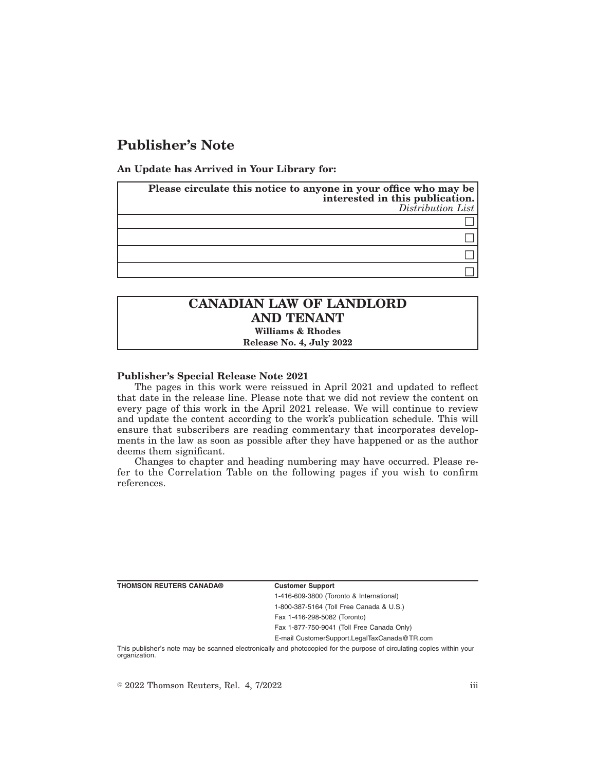# **Publisher's Note**

**An Update has Arrived in Your Library for:**

| Please circulate this notice to anyone in your office who may be<br>interested in this publication.<br>$Distriolution$ List |
|-----------------------------------------------------------------------------------------------------------------------------|
|                                                                                                                             |
|                                                                                                                             |
|                                                                                                                             |
|                                                                                                                             |

## **CANADIAN LAW OF LANDLORD AND TENANT Williams & Rhodes**

**Release No. 4, July 2022**

### **Publisher's Special Release Note 2021**

The pages in this work were reissued in April 2021 and updated to reflect that date in the release line. Please note that we did not review the content on every page of this work in the April 2021 release. We will continue to review and update the content according to the work's publication schedule. This will ensure that subscribers are reading commentary that incorporates developments in the law as soon as possible after they have happened or as the author deems them significant.

Changes to chapter and heading numbering may have occurred. Please refer to the Correlation Table on the following pages if you wish to confirm references.

**THOMSON REUTERS CANADA® Customer Support**

1-416-609-3800 (Toronto & International) 1-800-387-5164 (Toll Free Canada & U.S.) Fax 1-416-298-5082 (Toronto) Fax 1-877-750-9041 (Toll Free Canada Only)

E-mail CustomerSupport.LegalTaxCanada@TR.com

This publisher's note may be scanned electronically and photocopied for the purpose of circulating copies within your organization.

 $\degree$  2022 Thomson Reuters, Rel. 4, 7/2022 iii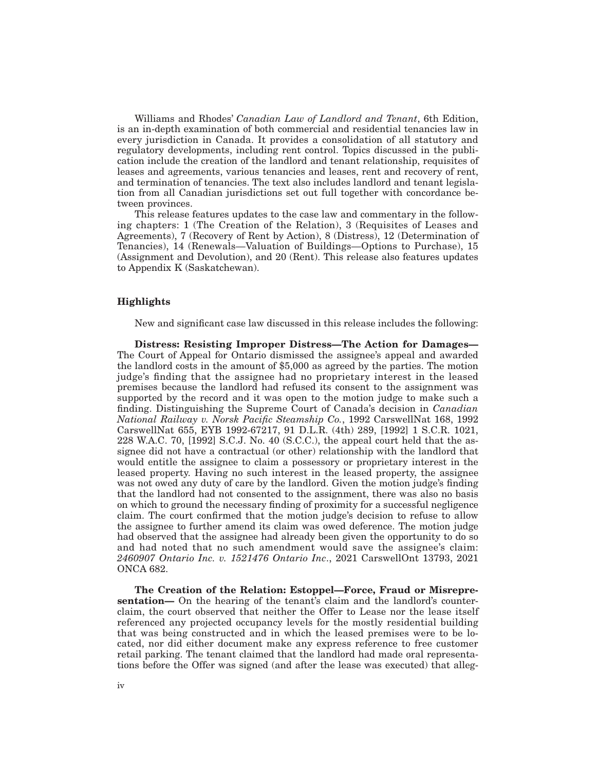Williams and Rhodes' *Canadian Law of Landlord and Tenant*, 6th Edition, is an in-depth examination of both commercial and residential tenancies law in every jurisdiction in Canada. It provides a consolidation of all statutory and regulatory developments, including rent control. Topics discussed in the publication include the creation of the landlord and tenant relationship, requisites of leases and agreements, various tenancies and leases, rent and recovery of rent, and termination of tenancies. The text also includes landlord and tenant legislation from all Canadian jurisdictions set out full together with concordance between provinces.

This release features updates to the case law and commentary in the following chapters: 1 (The Creation of the Relation), 3 (Requisites of Leases and Agreements), 7 (Recovery of Rent by Action), 8 (Distress), 12 (Determination of Tenancies), 14 (Renewals—Valuation of Buildings—Options to Purchase), 15 (Assignment and Devolution), and 20 (Rent). This release also features updates to Appendix K (Saskatchewan).

#### **Highlights**

New and significant case law discussed in this release includes the following:

**Distress: Resisting Improper Distress—The Action for Damages—** The Court of Appeal for Ontario dismissed the assignee's appeal and awarded the landlord costs in the amount of \$5,000 as agreed by the parties. The motion judge's finding that the assignee had no proprietary interest in the leased premises because the landlord had refused its consent to the assignment was supported by the record and it was open to the motion judge to make such a finding. Distinguishing the Supreme Court of Canada's decision in *Canadian National Railway v. Norsk Pacific Steamship Co.*, 1992 CarswellNat 168, 1992 CarswellNat 655, EYB 1992-67217, 91 D.L.R. (4th) 289, [1992] 1 S.C.R. 1021, 228 W.A.C. 70, [1992] S.C.J. No. 40 (S.C.C.), the appeal court held that the assignee did not have a contractual (or other) relationship with the landlord that would entitle the assignee to claim a possessory or proprietary interest in the leased property. Having no such interest in the leased property, the assignee was not owed any duty of care by the landlord. Given the motion judge's finding that the landlord had not consented to the assignment, there was also no basis on which to ground the necessary finding of proximity for a successful negligence claim. The court confirmed that the motion judge's decision to refuse to allow the assignee to further amend its claim was owed deference. The motion judge had observed that the assignee had already been given the opportunity to do so and had noted that no such amendment would save the assignee's claim: *2460907 Ontario Inc. v. 1521476 Ontario Inc*., 2021 CarswellOnt 13793, 2021 ONCA 682.

**The Creation of the Relation: Estoppel—Force, Fraud or Misrepresentation—** On the hearing of the tenant's claim and the landlord's counterclaim, the court observed that neither the Offer to Lease nor the lease itself referenced any projected occupancy levels for the mostly residential building that was being constructed and in which the leased premises were to be located, nor did either document make any express reference to free customer retail parking. The tenant claimed that the landlord had made oral representations before the Offer was signed (and after the lease was executed) that alleg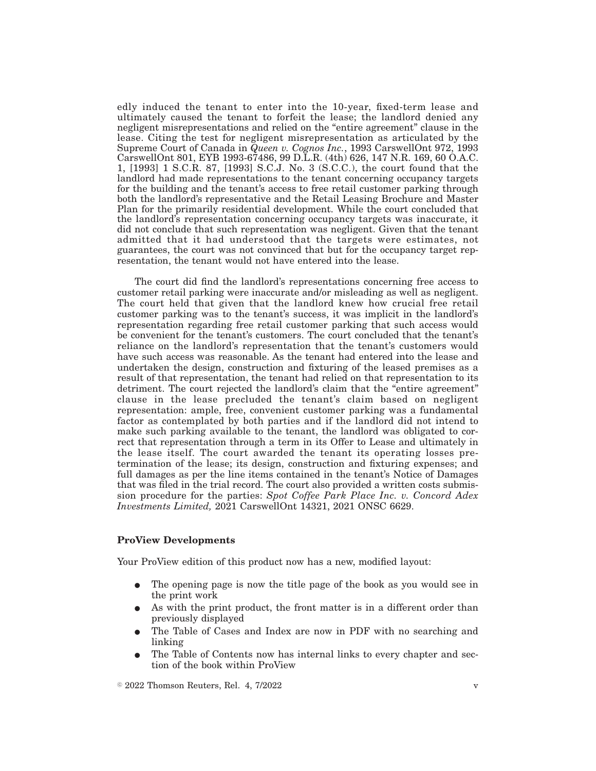edly induced the tenant to enter into the 10-year, fixed-term lease and ultimately caused the tenant to forfeit the lease; the landlord denied any negligent misrepresentations and relied on the "entire agreement" clause in the lease. Citing the test for negligent misrepresentation as articulated by the Supreme Court of Canada in *Queen v. Cognos Inc.*, 1993 CarswellOnt 972, 1993 CarswellOnt 801, EYB 1993-67486, 99 D.L.R. (4th) 626, 147 N.R. 169, 60 O.A.C. 1, [1993] 1 S.C.R. 87, [1993] S.C.J. No. 3 (S.C.C.), the court found that the landlord had made representations to the tenant concerning occupancy targets for the building and the tenant's access to free retail customer parking through both the landlord's representative and the Retail Leasing Brochure and Master Plan for the primarily residential development. While the court concluded that the landlord's representation concerning occupancy targets was inaccurate, it did not conclude that such representation was negligent. Given that the tenant admitted that it had understood that the targets were estimates, not guarantees, the court was not convinced that but for the occupancy target representation, the tenant would not have entered into the lease.

The court did find the landlord's representations concerning free access to customer retail parking were inaccurate and/or misleading as well as negligent. The court held that given that the landlord knew how crucial free retail customer parking was to the tenant's success, it was implicit in the landlord's representation regarding free retail customer parking that such access would be convenient for the tenant's customers. The court concluded that the tenant's reliance on the landlord's representation that the tenant's customers would have such access was reasonable. As the tenant had entered into the lease and undertaken the design, construction and fixturing of the leased premises as a result of that representation, the tenant had relied on that representation to its detriment. The court rejected the landlord's claim that the "entire agreement" clause in the lease precluded the tenant's claim based on negligent representation: ample, free, convenient customer parking was a fundamental factor as contemplated by both parties and if the landlord did not intend to make such parking available to the tenant, the landlord was obligated to correct that representation through a term in its Offer to Lease and ultimately in the lease itself. The court awarded the tenant its operating losses pretermination of the lease; its design, construction and fixturing expenses; and full damages as per the line items contained in the tenant's Notice of Damages that was filed in the trial record. The court also provided a written costs submission procedure for the parties: *Spot Coffee Park Place Inc. v. Concord Adex Investments Limited,* 2021 CarswellOnt 14321, 2021 ONSC 6629.

#### **ProView Developments**

Your ProView edition of this product now has a new, modified layout:

- The opening page is now the title page of the book as you would see in the print work
- As with the print product, the front matter is in a different order than previously displayed
- The Table of Cases and Index are now in PDF with no searching and linking
- E The Table of Contents now has internal links to every chapter and section of the book within ProView

 $\degree$  2022 Thomson Reuters, Rel. 4, 7/2022 v